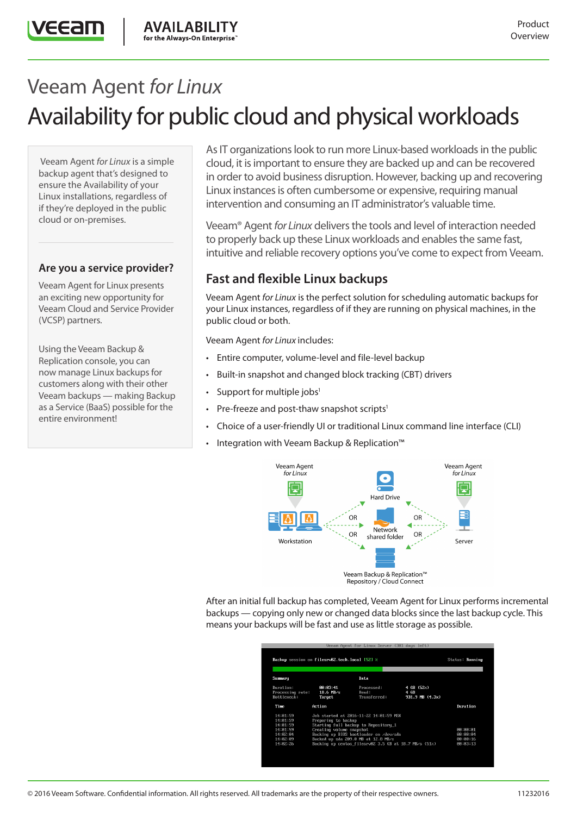# Veeam Agent *for Linux*  Availability for public cloud and physical workloads

**AVAILABILITY** 

for the Always-On Enterprise

 Veeam Agent *for Linux* is a simple backup agent that's designed to ensure the Availability of your Linux installations, regardless of if they're deployed in the public cloud or on-premises.

**ZEEZIT** 

#### **Are you a service provider?**

Veeam Agent for Linux presents an exciting new opportunity for Veeam Cloud and Service Provider (VCSP) partners.

Using the Veeam Backup & Replication console, you can now manage Linux backups for customers along with their other Veeam backups — making Backup as a Service (BaaS) possible for the entire environment!

As IT organizations look to run more Linux-based workloads in the public cloud, it is important to ensure they are backed up and can be recovered in order to avoid business disruption. However, backing up and recovering Linux instances is often cumbersome or expensive, requiring manual intervention and consuming an IT administrator's valuable time.

Veeam® Agent *for Linux* delivers the tools and level of interaction needed to properly back up these Linux workloads and enables the same fast, intuitive and reliable recovery options you've come to expect from Veeam.

# **Fast and flexible Linux backups**

Veeam Agent *for Linux* is the perfect solution for scheduling automatic backups for your Linux instances, regardless of if they are running on physical machines, in the public cloud or both.

Veeam Agent *for Linux* includes:

- Entire computer, volume-level and file-level backup
- Built-in snapshot and changed block tracking (CBT) drivers
- Support for multiple jobs<sup>1</sup>
- Pre-freeze and post-thaw snapshot scripts $1$
- Choice of a user-friendly UI or traditional Linux command line interface (CLI)
- Integration with Veeam Backup & Replication™





After an initial full backup has completed, Veeam Agent for Linux performs incremental backups — copying only new or changed data blocks since the last backup cycle. This means your backups will be fast and use as little storage as possible.

| Backup session on filesrv02.tech.local [52] x |                                                                                                       |                                     |                                       | Status: Running                        |  |
|-----------------------------------------------|-------------------------------------------------------------------------------------------------------|-------------------------------------|---------------------------------------|----------------------------------------|--|
| Summary                                       |                                                                                                       | Data                                |                                       |                                        |  |
| Duration:<br>Processing rate:<br>Bottleneck:  | 88:83:41<br>$18.6$ MB/s<br>Target                                                                     | Processed:<br>Read:<br>Transferred: | 4 GB (52%)<br>4 GR<br>931.9 MB (4.3x) |                                        |  |
| Time                                          | Action                                                                                                |                                     |                                       | Duration                               |  |
| 14:01:59<br>14:01:59<br>14:01:59              | Job started at 2016-11-22 14:01:59 MSK<br>Preparing to backup<br>Starting full backup to Repository 1 |                                     |                                       |                                        |  |
| 14:01:59<br>14:02:04                          | Creating volume snapshot<br>Backing up BIOS bootloader on /dev/sda                                    |                                     |                                       | <b>RR: RR: R1</b><br><b>RR: RR: R4</b> |  |
| 14:02:09<br>14:82:26                          | Backed up sda 209.0 MB at 12.8 MB/s<br>Backing up centos_filesrv02 3.5 GB at 18.7 MB/s (51%)          |                                     |                                       | 00:00:16<br>88:83:13                   |  |